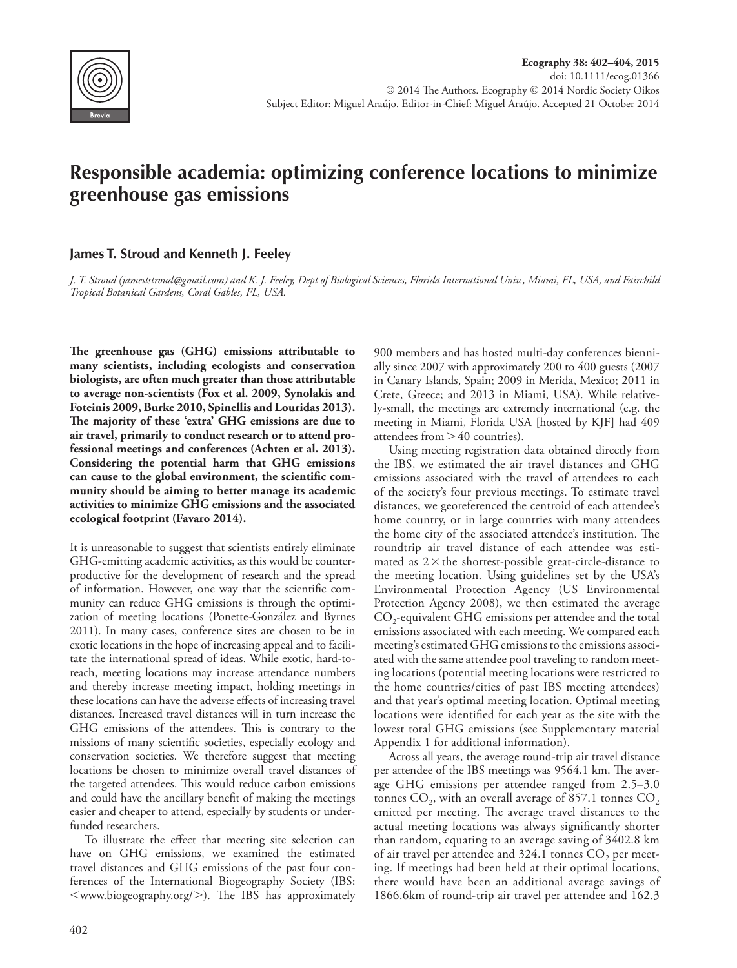

## **Responsible academia: optimizing conference locations to minimize greenhouse gas emissions**

## **James T. Stroud and Kenneth J. Feeley**

*J. T. Stroud (jameststroud@gmail.com) and K. J. Feeley, Dept of Biological Sciences, Florida International Univ., Miami, FL, USA, and Fairchild Tropical Botanical Gardens, Coral Gables, FL, USA.*

**The greenhouse gas (GHG) emissions attributable to many scientists, including ecologists and conservation biologists, are often much greater than those attributable to average non-scientists (Fox et al. 2009, Synolakis and Foteinis 2009, Burke 2010, Spinellis and Louridas 2013). The majority of these 'extra' GHG emissions are due to air travel, primarily to conduct research or to attend professional meetings and conferences (Achten et al. 2013). Considering the potential harm that GHG emissions can cause to the global environment, the scientific community should be aiming to better manage its academic activities to minimize GHG emissions and the associated ecological footprint (Favaro 2014).**

It is unreasonable to suggest that scientists entirely eliminate GHG-emitting academic activities, as this would be counterproductive for the development of research and the spread of information. However, one way that the scientific community can reduce GHG emissions is through the optimization of meeting locations (Ponette-González and Byrnes 2011). In many cases, conference sites are chosen to be in exotic locations in the hope of increasing appeal and to facilitate the international spread of ideas. While exotic, hard-toreach, meeting locations may increase attendance numbers and thereby increase meeting impact, holding meetings in these locations can have the adverse effects of increasing travel distances. Increased travel distances will in turn increase the GHG emissions of the attendees. This is contrary to the missions of many scientific societies, especially ecology and conservation societies. We therefore suggest that meeting locations be chosen to minimize overall travel distances of the targeted attendees. This would reduce carbon emissions and could have the ancillary benefit of making the meetings easier and cheaper to attend, especially by students or underfunded researchers.

To illustrate the effect that meeting site selection can have on GHG emissions, we examined the estimated travel distances and GHG emissions of the past four conferences of the International Biogeography Society (IBS:  $\leq$ www.biogeography.org/ $>$ ). The IBS has approximately 900 members and has hosted multi-day conferences biennially since 2007 with approximately 200 to 400 guests (2007 in Canary Islands, Spain; 2009 in Merida, Mexico; 2011 in Crete, Greece; and 2013 in Miami, USA). While relatively-small, the meetings are extremely international (e.g. the meeting in Miami, Florida USA [hosted by KJF] had 409 attendees from  $>40$  countries).

Using meeting registration data obtained directly from the IBS, we estimated the air travel distances and GHG emissions associated with the travel of attendees to each of the society's four previous meetings. To estimate travel distances, we georeferenced the centroid of each attendee's home country, or in large countries with many attendees the home city of the associated attendee's institution. The roundtrip air travel distance of each attendee was estimated as  $2 \times$  the shortest-possible great-circle-distance to the meeting location. Using guidelines set by the USA's Environmental Protection Agency (US Environmental Protection Agency 2008), we then estimated the average  $CO<sub>2</sub>$ -equivalent GHG emissions per attendee and the total emissions associated with each meeting. We compared each meeting's estimated GHG emissions to the emissions associated with the same attendee pool traveling to random meeting locations (potential meeting locations were restricted to the home countries/cities of past IBS meeting attendees) and that year's optimal meeting location. Optimal meeting locations were identified for each year as the site with the lowest total GHG emissions (see Supplementary material Appendix 1 for additional information).

Across all years, the average round-trip air travel distance per attendee of the IBS meetings was 9564.1 km. The average GHG emissions per attendee ranged from 2.5–3.0 tonnes  $CO_2$ , with an overall average of 857.1 tonnes  $CO_2$ emitted per meeting. The average travel distances to the actual meeting locations was always significantly shorter than random, equating to an average saving of 3402.8 km of air travel per attendee and  $324.1$  tonnes  $CO<sub>2</sub>$  per meeting. If meetings had been held at their optimal locations, there would have been an additional average savings of 1866.6km of round-trip air travel per attendee and 162.3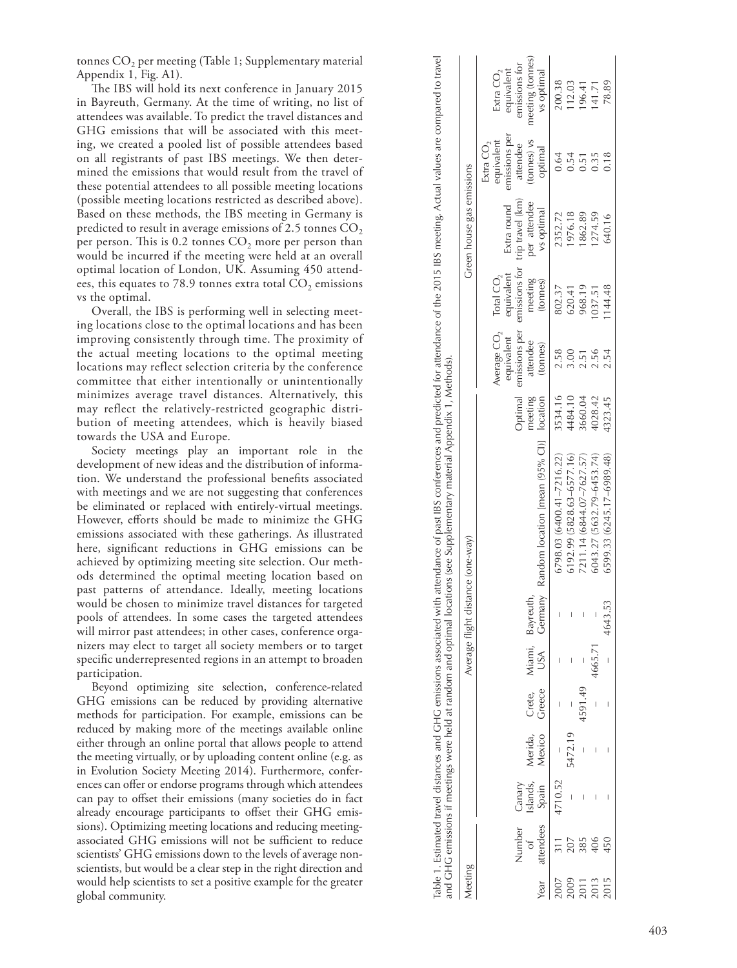tonnes  $CO_2$  per meeting (Table 1; Supplementary material Appendix 1, Fig. A1).

The IBS will hold its next conference in January 2015 in Bayreuth, Germany. At the time of writing, no list of attendees was available. To predict the travel distances and GHG emissions that will be associated with this meet ing, we created a pooled list of possible attendees based on all registrants of past IBS meetings. We then deter mined the emissions that would result from the travel of these potential attendees to all possible meeting locations (possible meeting locations restricted as described above). Based on these methods, the IBS meeting in Germany is predicted to result in average emissions of 2.5 tonnes  $\mathrm{CO}_2$ per person. This is  $0.2$  tonnes  $\mathrm{CO}_2$  more per person than would be incurred if the meeting were held at an overall optimal location of London, UK. Assuming 450 attend ees, this equates to 78.9 tonnes extra total  $\mathrm{CO}_2$  emissions vs the optimal.

Overall, the IBS is performing well in selecting meet ing locations close to the optimal locations and has been improving consistently through time. The proximity of the actual meeting locations to the optimal meeting locations may reflect selection criteria by the conference committee that either intentionally or unintentionally minimizes average travel distances. Alternatively, this may reflect the relatively-restricted geographic distri bution of meeting attendees, which is heavily biased towards the USA and Europe.

Society meetings play an important role in the development of new ideas and the distribution of informa tion. We understand the professional benefits associated with meetings and we are not suggesting that conferences be eliminated or replaced with entirely-virtual meetings. However, efforts should be made to minimize the GHG emissions associated with these gatherings. As illustrated here, significant reductions in GHG emissions can be achieved by optimizing meeting site selection. Our meth ods determined the optimal meeting location based on past patterns of attendance. Ideally, meeting locations would be chosen to minimize travel distances for targeted pools of attendees. In some cases the targeted attendees will mirror past attendees; in other cases, conference orga nizers may elect to target all society members or to target specific underrepresented regions in an attempt to broaden participation.

Beyond optimizing site selection, conference-related GHG emissions can be reduced by providing alternative methods for participation. For example, emissions can be reduced by making more of the meetings available online either through an online portal that allows people to attend the meeting virtually, or by uploading content online (e.g. as in Evolution Society Meeting 2014). Furthermore, confer ences can offer or endorse programs through which attendees can pay to offset their emissions (many societies do in fact already encourage participants to offset their GHG emis sions). Optimizing meeting locations and reducing meetingassociated GHG emissions will not be sufficient to reduce scientists' GHG emissions down to the levels of average nonscientists, but would be a clear step in the right direction and would help scientists to set a positive example for the greater global community.

|         |                     |                                    |         |         |         |                                                              | Table 1. Estimated travel distances and GHG emissions associated with attendance of past IBS conferences and predicted for attendance of the 2015 IBS meeting. Actual values are compared to travel<br>and GHG emissions if meetings were held at random and optimal locations (see Supplementary material Appendix 1, Methods). |                    |                                                                                |                                                |                                                                             |                                                                                |                                                                            |
|---------|---------------------|------------------------------------|---------|---------|---------|--------------------------------------------------------------|----------------------------------------------------------------------------------------------------------------------------------------------------------------------------------------------------------------------------------------------------------------------------------------------------------------------------------|--------------------|--------------------------------------------------------------------------------|------------------------------------------------|-----------------------------------------------------------------------------|--------------------------------------------------------------------------------|----------------------------------------------------------------------------|
| deeting |                     |                                    |         |         |         | Average flight distance (one-way                             |                                                                                                                                                                                                                                                                                                                                  |                    |                                                                                |                                                | Green house gas emissions                                                   |                                                                                |                                                                            |
| Year    | attendees<br>$\int$ | Islands,<br>Spain<br>Number Canary |         |         |         | Merida, Crete, Miami, Bayreuth,<br>Mexico Greece USA Germany | Random location [mean (95% Cl)] location                                                                                                                                                                                                                                                                                         | Optimal<br>meeting | Average $\mathsf{CO}_2$<br>emissions per<br>equivalent<br>attendee<br>(tonnes) | equivalent<br>Total CO,<br>meeting<br>(tonnes) | emissions for trip travel (km)<br>per attendee<br>Extra round<br>vs optimal | emissions per<br>(tonnes) vs<br>equivalent<br>Extra CO,<br>attendee<br>optimal | meeting (tonnes)<br>emissions for<br>equivalent<br>Extra CO,<br>vs optimal |
|         | 311                 | 4710.52                            |         |         |         |                                                              | 6798.03 (6400.41-7216.22)                                                                                                                                                                                                                                                                                                        | 3534.16            | 2.58                                                                           | 802.37                                         | 2352.72                                                                     | 0.64                                                                           | 200.38                                                                     |
| 2009    | 20 <sub>2</sub>     |                                    | 5472.19 |         |         |                                                              | $6192.99(5828.63 - 6577.16)$                                                                                                                                                                                                                                                                                                     | 4484.10            |                                                                                | 620.41                                         | 1976.18                                                                     | <b>1.54</b>                                                                    | 12.03                                                                      |
| 2011    | 385                 |                                    |         | 4591.49 |         |                                                              | 7211.14 (6844.07-7627.57)                                                                                                                                                                                                                                                                                                        | 3660.04            |                                                                                | 968.19                                         | 862.89                                                                      | .51                                                                            | 196.41                                                                     |
| 2013    | 406                 |                                    |         |         | 4665.71 |                                                              | 6043.27 (5632.79-6453.74)                                                                                                                                                                                                                                                                                                        | 4028.42            | 2.56                                                                           | 037.51                                         | 274.59                                                                      | ).35                                                                           | 41.71                                                                      |
| 2015    | 450                 |                                    |         |         |         | 4643.53                                                      | 6599.33 (6245.17-6989.48)                                                                                                                                                                                                                                                                                                        | 4323.45            | 2.54                                                                           | 144.48                                         | 640.16                                                                      | 0.18                                                                           | 78.89                                                                      |

403